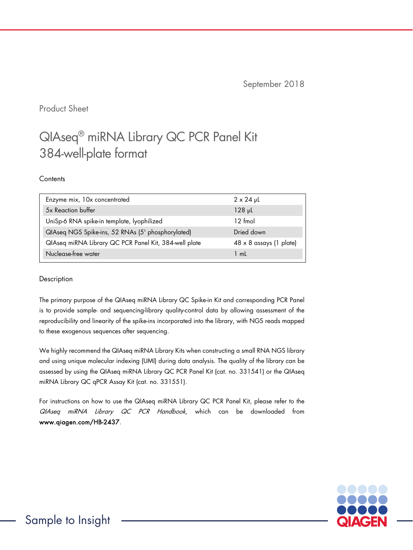September 2018

Product Sheet

# QIAseq® miRNA Library QC PCR Panel Kit 384-well-plate format

#### **Contents**

| Enzyme mix, 10x concentrated                          | $2 \times 24$ pL        |
|-------------------------------------------------------|-------------------------|
| 5x Reaction buffer                                    | $128$ pL                |
| UniSp-6 RNA spike-in template, lyophilized            | $12 \text{ fmol}$       |
| QIAseq NGS Spike-ins, 52 RNAs (5' phosphorylated)     | Dried down              |
| QIAseq miRNA Library QC PCR Panel Kit, 384-well plate | 48 x 8 assays (1 plate) |
| Nuclease-free water                                   | 1 mL                    |

#### Description

The primary purpose of the QIAseq miRNA Library QC Spike-in Kit and corresponding PCR Panel is to provide sample- and sequencing-library quality-control data by allowing assessment of the reproducibility and linearity of the spike-ins incorporated into the library, with NGS reads mapped to these exogenous sequences after sequencing.

We highly recommend the QIAseq miRNA Library Kits when constructing a small RNA NGS library and using unique molecular indexing (UMI) during data analysis. The quality of the library can be assessed by using the QIAseq miRNA Library QC PCR Panel Kit (cat. no. 331541) or the QIAseq miRNA Library QC qPCR Assay Kit (cat. no. 331551).

For instructions on how to use the QIAseq miRNA Library QC PCR Panel Kit, please refer to the QIAseq miRNA Library QC PCR Handbook, which can be downloaded from www.qiagen.com/HB-2437.

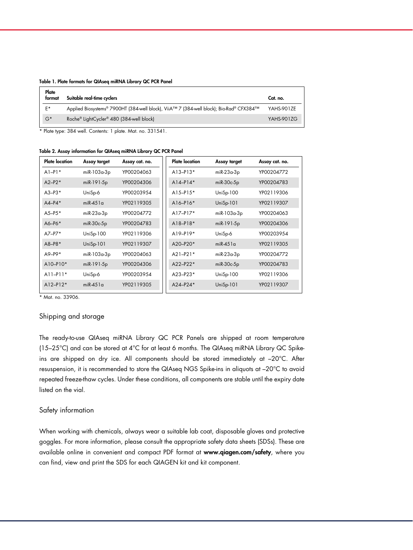|  |  | Table 1. Plate formats for QIAseq miRNA Library QC PCR Panel |  |  |  |  |  |  |  |
|--|--|--------------------------------------------------------------|--|--|--|--|--|--|--|
|--|--|--------------------------------------------------------------|--|--|--|--|--|--|--|

| Plate<br>tormat | Suitable real-time cyclers                                                              | Cat. no.          |
|-----------------|-----------------------------------------------------------------------------------------|-------------------|
| E*              | Applied Biosystems® 7900HT (384-well block), ViiA™ 7 (384-well block); Bio-Rad® CFX384™ | YAHS-901ZE        |
| $G^*$           | Roche® LightCycler® 480 (384-well block)                                                | <b>YAHS-901ZG</b> |

\* Plate type: 384 well. Contents: 1 plate. Mat. no. 331541.

Table 2. Assay information for QIAseq miRNA Library QC PCR Panel

| <b>Plate location</b> | Assay target  | Assay cat. no. |
|-----------------------|---------------|----------------|
| $A1-P1*$              | miR-103a-3p   | YP00204063     |
| $A2-P2*$              | miR-191-5p    | YP00204306     |
| $A3 - P3*$            | UniSp-6       | YP00203954     |
| $AA-P4*$              | $mR-451a$     | YP02119305     |
| $A5 - P5*$            | $miR-23a-3p$  | YP00204772     |
| $A6-P6*$              | $miR-30c-5p$  | YP00204783     |
| $A7-P7*$              | Uni $Sp-100$  | YP02119306     |
| $A8 - P8*$            | $UniSp-101$   | YP02119307     |
| $A9-P9*$              | $miR-103a-3p$ | YP00204063     |
| $A10 - P10*$          | $miR-191-5p$  | YP00204306     |
| $A11 - P11*$          | UniSp-6       | YP00203954     |
| $A12 - P12*$          | $mR-451a$     | YP02119305     |
|                       |               |                |

\* Mat. no. 33906.

#### Shipping and storage

The ready-to-use QIAseq miRNA Library QC PCR Panels are shipped at room temperature (15–25°C) and can be stored at 4°C for at least 6 months. The QIAseq miRNA Library QC Spikeins are shipped on dry ice. All components should be stored immediately at –20°C. After resuspension, it is recommended to store the QIAseq NGS Spike-ins in aliquots at –20°C to avoid repeated freeze-thaw cycles. Under these conditions, all components are stable until the expiry date listed on the vial.

#### Safety information

When working with chemicals, always wear a suitable lab coat, disposable gloves and protective goggles. For more information, please consult the appropriate safety data sheets (SDSs). These are available online in convenient and compact PDF format at www.qiagen.com/safety, where you can find, view and print the SDS for each QIAGEN kit and kit component.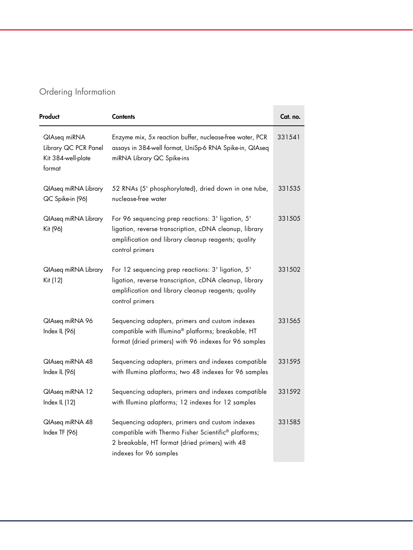## Ordering Information

| Product                                                              | <b>Contents</b>                                                                                                                                                                       | Cat. no. |
|----------------------------------------------------------------------|---------------------------------------------------------------------------------------------------------------------------------------------------------------------------------------|----------|
| QlAseq miRNA<br>Library QC PCR Panel<br>Kit 384-well-plate<br>format | Enzyme mix, 5x reaction buffer, nuclease-free water, PCR<br>assays in 384-well format, UniSp-6 RNA Spike-in, QIAseq<br>miRNA Library QC Spike-ins                                     | 331541   |
| QlAseq miRNA Library<br>QC Spike-in (96)                             | 52 RNAs (5' phosphorylated), dried down in one tube,<br>nuclease-free water                                                                                                           | 331535   |
| QlAseq miRNA Library<br>Kit (96)                                     | For 96 sequencing prep reactions: 3' ligation, 5'<br>ligation, reverse transcription, cDNA cleanup, library<br>amplification and library cleanup reagents; quality<br>control primers | 331505   |
| QlAseq miRNA Library<br>Kit (12)                                     | For 12 sequencing prep reactions: 3' ligation, 5'<br>ligation, reverse transcription, cDNA cleanup, library<br>amplification and library cleanup reagents; quality<br>control primers | 331502   |
| QlAseq miRNA 96<br>Index IL (96)                                     | Sequencing adapters, primers and custom indexes<br>compatible with Illumina® platforms; breakable, HT<br>format (dried primers) with 96 indexes for 96 samples                        | 331565   |
| QlAseq miRNA 48<br>Index IL (96)                                     | Sequencing adapters, primers and indexes compatible<br>with Illumina platforms; two 48 indexes for 96 samples                                                                         | 331595   |
| QlAseq miRNA 12<br>Index IL $(12)$                                   | Sequencing adapters, primers and indexes compatible<br>with Illumina platforms; 12 indexes for 12 samples                                                                             | 331592   |
| QlAseq miRNA 48<br>Index TF (96)                                     | Sequencing adapters, primers and custom indexes<br>compatible with Thermo Fisher Scientific® platforms;<br>2 breakable, HT format (dried primers) with 48<br>indexes for 96 samples   | 331585   |